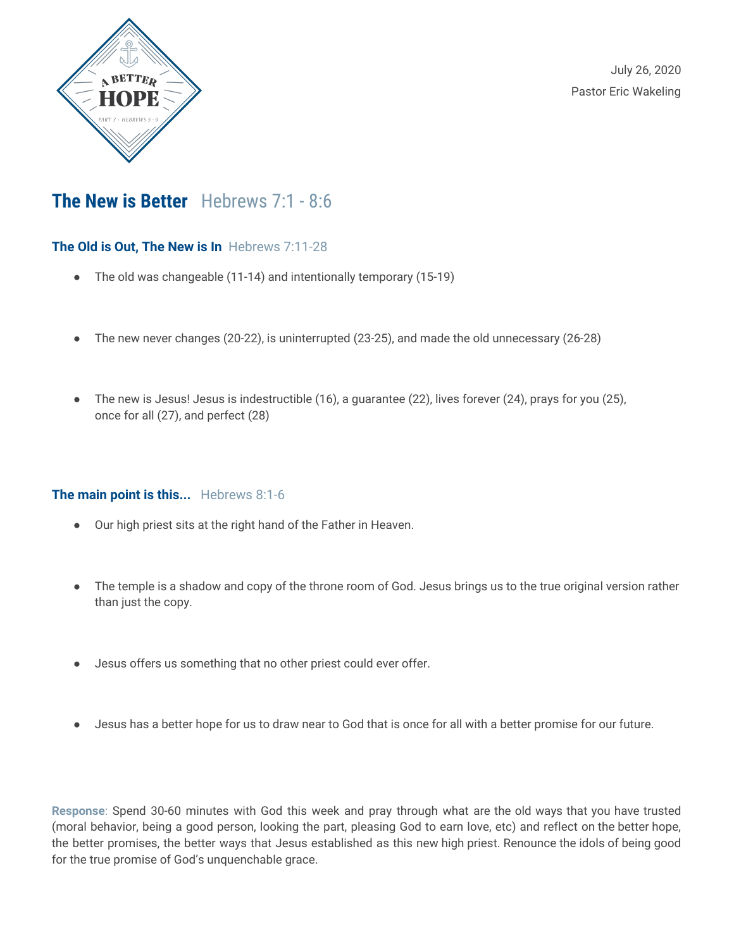

July 26, 2020 Pastor Eric Wakeling

### **The New is Better** Hebrews 7:1 - 8:6

#### **The Old is Out, The New is In** Hebrews 7:11-28

- The old was changeable (11-14) and intentionally temporary (15-19)
- The new never changes (20-22), is uninterrupted (23-25), and made the old unnecessary (26-28)
- The new is Jesus! Jesus is indestructible (16), a guarantee (22), lives forever (24), prays for you (25), once for all (27), and perfect (28)

#### **The main point is this...** Hebrews 8:1-6

- Our high priest sits at the right hand of the Father in Heaven.
- The temple is a shadow and copy of the throne room of God. Jesus brings us to the true original version rather than just the copy.
- Jesus offers us something that no other priest could ever offer.
- Jesus has a better hope for us to draw near to God that is once for all with a better promise for our future.

**Response**: Spend 30-60 minutes with God this week and pray through what are the old ways that you have trusted (moral behavior, being a good person, looking the part, pleasing God to earn love, etc) and reflect on the better hope, the better promises, the better ways that Jesus established as this new high priest. Renounce the idols of being good for the true promise of God's unquenchable grace.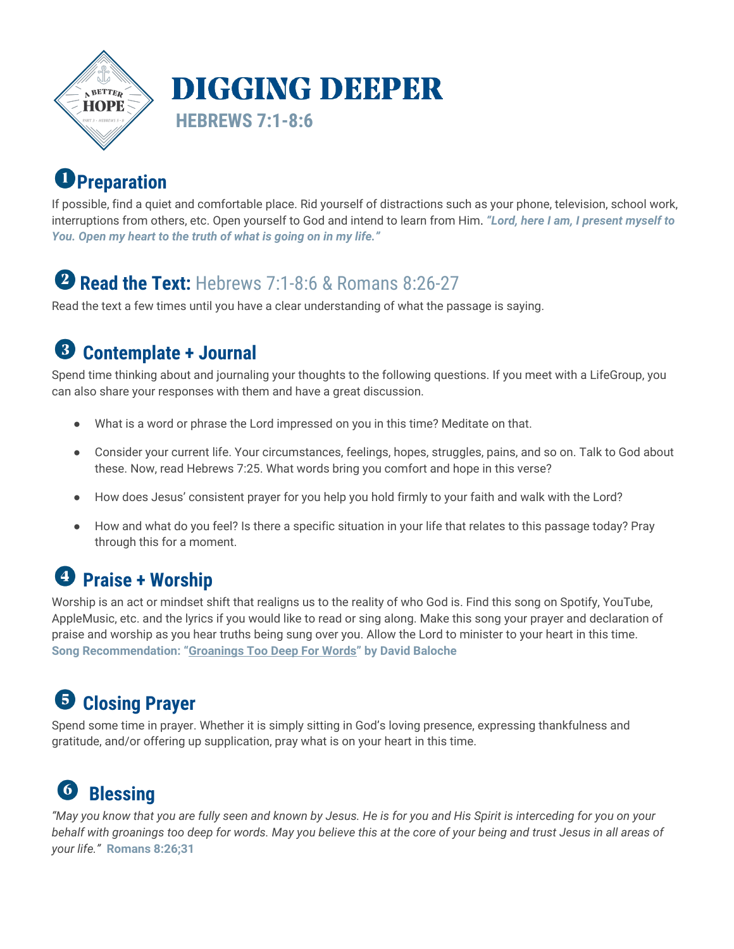

## **Preparation**

If possible, find a quiet and comfortable place. Rid yourself of distractions such as your phone, television, school work, interruptions from others, etc. Open yourself to God and intend to learn from Him. *"Lord, here I am, I present myself to You. Open my heart to the truth of what is going on in my life."*

## **Read the Text:** Hebrews 7:1-8:6 & Romans 8:26-27

Read the text a few times until you have a clear understanding of what the passage is saying.

## **Contemplate + Journal**

Spend time thinking about and journaling your thoughts to the following questions. If you meet with a LifeGroup, you can also share your responses with them and have a great discussion.

- What is a word or phrase the Lord impressed on you in this time? Meditate on that.
- Consider your current life. Your circumstances, feelings, hopes, struggles, pains, and so on. Talk to God about these. Now, read Hebrews 7:25. What words bring you comfort and hope in this verse?
- How does Jesus' consistent prayer for you help you hold firmly to your faith and walk with the Lord?
- How and what do you feel? Is there a specific situation in your life that relates to this passage today? Pray through this for a moment.

## **Praise + Worship**

Worship is an act or mindset shift that realigns us to the reality of who God is. Find this song on Spotify, YouTube, AppleMusic, etc. and the lyrics if you would like to read or sing along. Make this song your prayer and declaration of praise and worship as you hear truths being sung over you. Allow the Lord to minister to your heart in this time. **Song Recommendation: "[Groanings](https://www.youtube.com/watch?v=41uv3WD0YC0) Too Deep For Words" by David Baloche**

# **Closing Prayer**

Spend some time in prayer. Whether it is simply sitting in God's loving presence, expressing thankfulness and gratitude, and/or offering up supplication, pray what is on your heart in this time.

#### **Blessing**  $\begin{bmatrix} 6 \end{bmatrix}$

"May you know that you are fully seen and known by Jesus. He is for you and His Spirit is interceding for you on your behalf with groanings too deep for words. May you believe this at the core of your being and trust Jesus in all areas of *your life."* **Romans 8:26;31**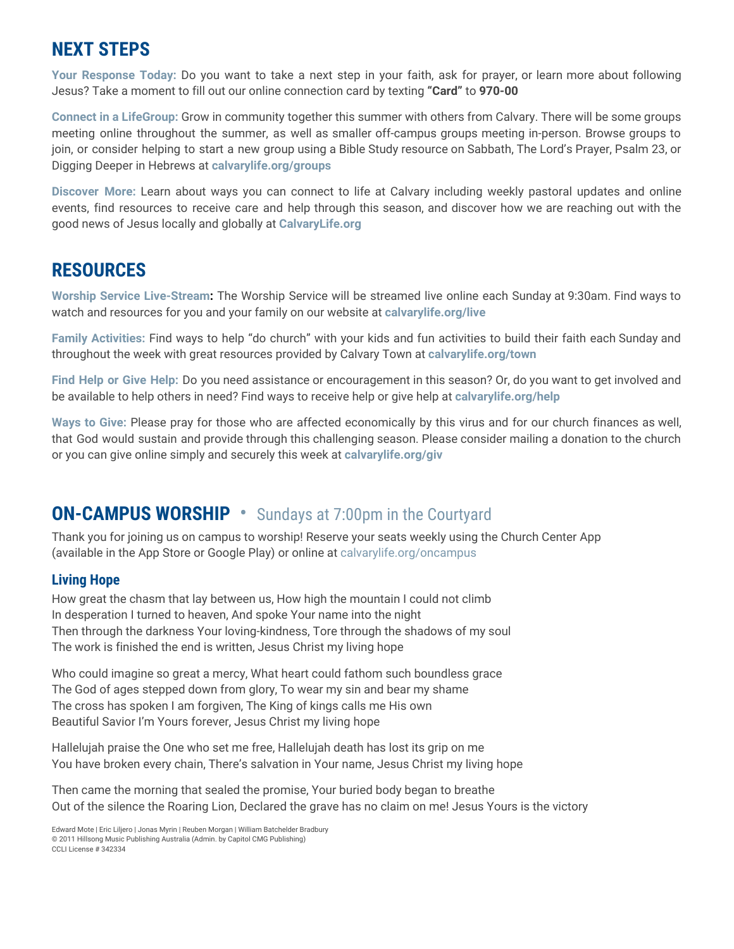### **NEXT STEPS**

**Your Response Today:** Do you want to take a next step in your faith, ask for prayer, or learn more about following Jesus? Take a moment to fill out our online connection card by texting **"Card"** to **970-00**

**Connect in a LifeGroup:** Grow in community together this summer with others from Calvary. There will be some groups meeting online throughout the summer, as well as smaller off-campus groups meeting in-person. Browse groups to join, or consider helping to start a new group using a Bible Study resource on Sabbath, The Lord's Prayer, Psalm 23, or Digging Deeper in Hebrews at **calvarylife.org/groups**

**Discover More:** Learn about ways you can connect to life at Calvary including weekly pastoral updates and online events, find resources to receive care and help through this season, and discover how we are reaching out with the good news of Jesus locally and globally at **CalvaryLife.org**

### **RESOURCES**

**Worship Service Live-Stream:** The Worship Service will be streamed live online each Sunday at 9:30am. Find ways to watch and resources for you and your family on our website at **calvarylife.org/live**

**Family Activities:** Find ways to help "do church" with your kids and fun activities to build their faith each Sunday and throughout the week with great resources provided by Calvary Town at **calvarylife.org/town**

**Find Help or Give Help:** Do you need assistance or encouragement in this season? Or, do you want to get involved and be available to help others in need? Find ways to receive help or give help at **calvarylife.org/help**

**Ways to Give:** Please pray for those who are affected economically by this virus and for our church finances as well, that God would sustain and provide through this challenging season. Please consider mailing a donation to the church or you can give online simply and securely this week at **calvarylife.org/giv**

### **ON-CAMPUS WORSHIP** • Sundays at 7:00pm in the Courtyard

Thank you for joining us on campus to worship! Reserve your seats weekly using the Church Center App (available in the App Store or Google Play) or online at calvarylife.org/oncampus

#### **Living Hope**

How great the chasm that lay between us, How high the mountain I could not climb In desperation I turned to heaven, And spoke Your name into the night Then through the darkness Your loving-kindness, Tore through the shadows of my soul The work is finished the end is written, Jesus Christ my living hope

Who could imagine so great a mercy, What heart could fathom such boundless grace The God of ages stepped down from glory, To wear my sin and bear my shame The cross has spoken I am forgiven, The King of kings calls me His own Beautiful Savior I'm Yours forever, Jesus Christ my living hope

Hallelujah praise the One who set me free, Hallelujah death has lost its grip on me You have broken every chain, There's salvation in Your name, Jesus Christ my living hope

Then came the morning that sealed the promise, Your buried body began to breathe Out of the silence the Roaring Lion, Declared the grave has no claim on me! Jesus Yours is the victory

Edward Mote | Eric Liljero | Jonas Myrin | Reuben Morgan | William Batchelder Bradbury © 2011 Hillsong Music Publishing Australia (Admin. by Capitol CMG Publishing) CCLI License # 342334